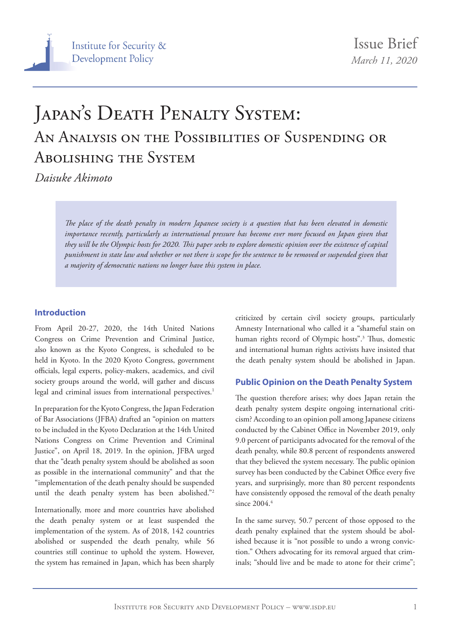# JAPAN'S DEATH PENALTY SYSTEM: An Analysis on the Possibilities of Suspending or Abolishing the System

*Daisuke Akimoto* 

*The place of the death penalty in modern Japanese society is a question that has been elevated in domestic importance recently, particularly as international pressure has become ever more focused on Japan given that they will be the Olympic hosts for 2020. This paper seeks to explore domestic opinion over the existence of capital punishment in state law and whether or not there is scope for the sentence to be removed or suspended given that a majority of democratic nations no longer have this system in place.*

#### **Introduction**

From April 20-27, 2020, the 14th United Nations Congress on Crime Prevention and Criminal Justice, also known as the Kyoto Congress, is scheduled to be held in Kyoto. In the 2020 Kyoto Congress, government officials, legal experts, policy-makers, academics, and civil society groups around the world, will gather and discuss legal and criminal issues from international perspectives.<sup>1</sup>

In preparation for the Kyoto Congress, the Japan Federation of Bar Associations (JFBA) drafted an "opinion on matters to be included in the Kyoto Declaration at the 14th United Nations Congress on Crime Prevention and Criminal Justice", on April 18, 2019. In the opinion, JFBA urged that the "death penalty system should be abolished as soon as possible in the international community" and that the "implementation of the death penalty should be suspended until the death penalty system has been abolished."2

Internationally, more and more countries have abolished the death penalty system or at least suspended the implementation of the system. As of 2018, 142 countries abolished or suspended the death penalty, while 56 countries still continue to uphold the system. However, the system has remained in Japan, which has been sharply criticized by certain civil society groups, particularly Amnesty International who called it a "shameful stain on human rights record of Olympic hosts".3 Thus, domestic and international human rights activists have insisted that the death penalty system should be abolished in Japan.

#### **Public Opinion on the Death Penalty System**

The question therefore arises; why does Japan retain the death penalty system despite ongoing international criticism? According to an opinion poll among Japanese citizens conducted by the Cabinet Office in November 2019, only 9.0 percent of participants advocated for the removal of the death penalty, while 80.8 percent of respondents answered that they believed the system necessary. The public opinion survey has been conducted by the Cabinet Office every five years, and surprisingly, more than 80 percent respondents have consistently opposed the removal of the death penalty since  $2004.<sup>4</sup>$ 

In the same survey, 50.7 percent of those opposed to the death penalty explained that the system should be abolished because it is "not possible to undo a wrong conviction." Others advocating for its removal argued that criminals; "should live and be made to atone for their crime";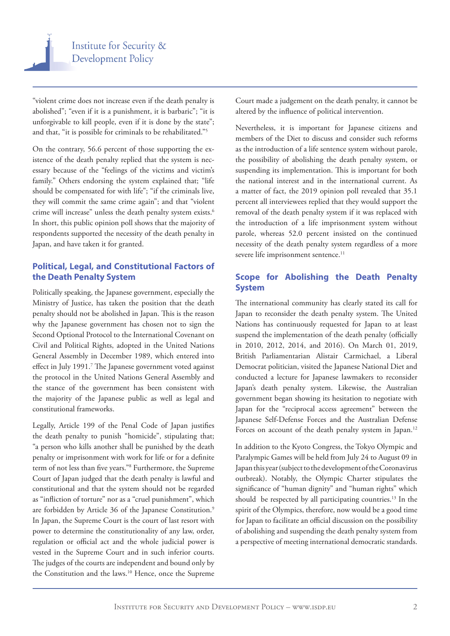"violent crime does not increase even if the death penalty is abolished"; "even if it is a punishment, it is barbaric"; "it is unforgivable to kill people, even if it is done by the state"; and that, "it is possible for criminals to be rehabilitated."5

On the contrary, 56.6 percent of those supporting the existence of the death penalty replied that the system is necessary because of the "feelings of the victims and victim's family." Others endorsing the system explained that; "life should be compensated for with life"; "if the criminals live, they will commit the same crime again"; and that "violent crime will increase" unless the death penalty system exists.6 In short, this public opinion poll shows that the majority of respondents supported the necessity of the death penalty in Japan, and have taken it for granted.

# **Political, Legal, and Constitutional Factors of the Death Penalty System**

Politically speaking, the Japanese government, especially the Ministry of Justice, has taken the position that the death penalty should not be abolished in Japan. This is the reason why the Japanese government has chosen not to sign the Second Optional Protocol to the International Covenant on Civil and Political Rights, adopted in the United Nations General Assembly in December 1989, which entered into effect in July 1991.<sup>7</sup> The Japanese government voted against the protocol in the United Nations General Assembly and the stance of the government has been consistent with the majority of the Japanese public as well as legal and constitutional frameworks.

Legally, Article 199 of the Penal Code of Japan justifies the death penalty to punish "homicide", stipulating that; "a person who kills another shall be punished by the death penalty or imprisonment with work for life or for a definite term of not less than five years."8 Furthermore, the Supreme Court of Japan judged that the death penalty is lawful and constitutional and that the system should not be regarded as "infliction of torture" nor as a "cruel punishment", which are forbidden by Article 36 of the Japanese Constitution.<sup>9</sup> In Japan, the Supreme Court is the court of last resort with power to determine the constitutionality of any law, order, regulation or official act and the whole judicial power is vested in the Supreme Court and in such inferior courts. The judges of the courts are independent and bound only by the Constitution and the laws.<sup>10</sup> Hence, once the Supreme

Court made a judgement on the death penalty, it cannot be altered by the influence of political intervention.

Nevertheless, it is important for Japanese citizens and members of the Diet to discuss and consider such reforms as the introduction of a life sentence system without parole, the possibility of abolishing the death penalty system, or suspending its implementation. This is important for both the national interest and in the international current. As a matter of fact, the 2019 opinion poll revealed that 35.1 percent all interviewees replied that they would support the removal of the death penalty system if it was replaced with the introduction of a life imprisonment system without parole, whereas 52.0 percent insisted on the continued necessity of the death penalty system regardless of a more severe life imprisonment sentence.<sup>11</sup>

## **Scope for Abolishing the Death Penalty System**

The international community has clearly stated its call for Japan to reconsider the death penalty system. The United Nations has continuously requested for Japan to at least suspend the implementation of the death penalty (officially in 2010, 2012, 2014, and 2016). On March 01, 2019, British Parliamentarian Alistair Carmichael, a Liberal Democrat politician, visited the Japanese National Diet and conducted a lecture for Japanese lawmakers to reconsider Japan's death penalty system. Likewise, the Australian government began showing its hesitation to negotiate with Japan for the "reciprocal access agreement" between the Japanese Self-Defense Forces and the Australian Defense Forces on account of the death penalty system in Japan.<sup>12</sup>

In addition to the Kyoto Congress, the Tokyo Olympic and Paralympic Games will be held from July 24 to August 09 in Japan this year (subject to the development of the Coronavirus outbreak). Notably, the Olympic Charter stipulates the significance of "human dignity" and "human rights" which should be respected by all participating countries.<sup>13</sup> In the spirit of the Olympics, therefore, now would be a good time for Japan to facilitate an official discussion on the possibility of abolishing and suspending the death penalty system from a perspective of meeting international democratic standards.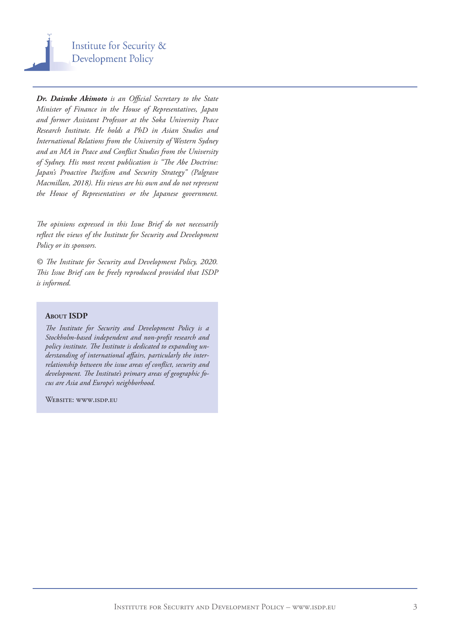

*Dr. Daisuke Akimoto is an Official Secretary to the State Minister of Finance in the House of Representatives, Japan and former Assistant Professor at the Soka University Peace Research Institute. He holds a PhD in Asian Studies and International Relations from the University of Western Sydney and an MA in Peace and Conflict Studies from the University of Sydney. His most recent publication is "The Abe Doctrine: Japan's Proactive Pacifism and Security Strategy" (Palgrave Macmillan, 2018). His views are his own and do not represent the House of Representatives or the Japanese government.*

*The opinions expressed in this Issue Brief do not necessarily reflect the views of the Institute for Security and Development Policy or its sponsors.*

*© The Institute for Security and Development Policy, 2020. This Issue Brief can be freely reproduced provided that ISDP is informed.*

#### **About ISDP**

*The Institute for Security and Development Policy is a Stockholm-based independent and non-profit research and policy institute. The Institute is dedicated to expanding understanding of international affairs, particularly the interrelationship between the issue areas of conflict, security and development. The Institute's primary areas of geographic focus are Asia and Europe's neighborhood.* 

WEBSITE: WWW.ISDP.EU